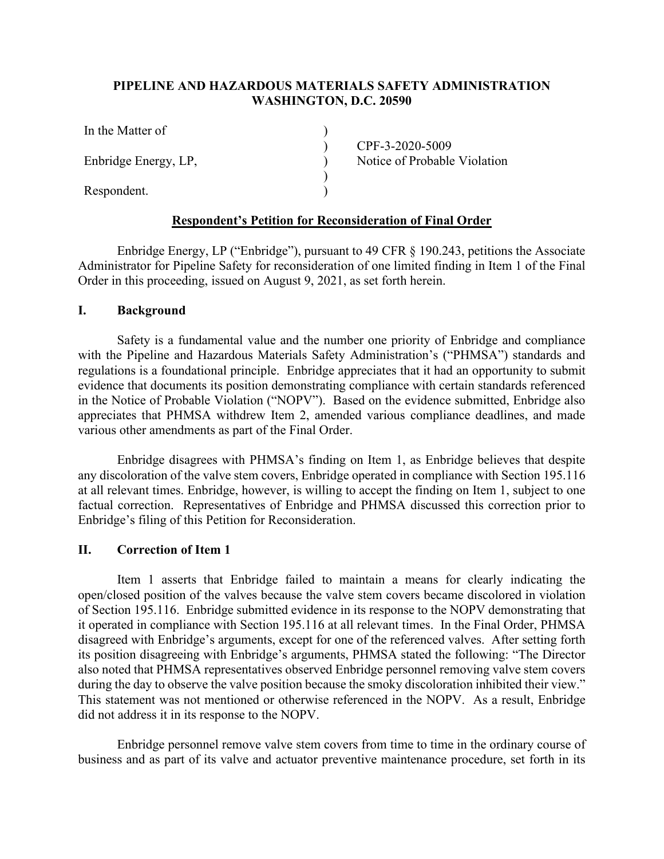## **PIPELINE AND HAZARDOUS MATERIALS SAFETY ADMINISTRATION WASHINGTON, D.C. 20590**

) )  $\sum_{i=1}^{n}$ ) )

| In the Matter of     |  |
|----------------------|--|
| Enbridge Energy, LP, |  |
| Respondent.          |  |

CPF-3-2020-5009 Notice of Probable Violation

## **Respondent's Petition for Reconsideration of Final Order**

Enbridge Energy, LP ("Enbridge"), pursuant to 49 CFR § 190.243, petitions the Associate Administrator for Pipeline Safety for reconsideration of one limited finding in Item 1 of the Final Order in this proceeding, issued on August 9, 2021, as set forth herein.

### **I. Background**

Safety is a fundamental value and the number one priority of Enbridge and compliance with the Pipeline and Hazardous Materials Safety Administration's ("PHMSA") standards and regulations is a foundational principle. Enbridge appreciates that it had an opportunity to submit evidence that documents its position demonstrating compliance with certain standards referenced in the Notice of Probable Violation ("NOPV"). Based on the evidence submitted, Enbridge also appreciates that PHMSA withdrew Item 2, amended various compliance deadlines, and made various other amendments as part of the Final Order.

Enbridge disagrees with PHMSA's finding on Item 1, as Enbridge believes that despite any discoloration of the valve stem covers, Enbridge operated in compliance with Section 195.116 at all relevant times. Enbridge, however, is willing to accept the finding on Item 1, subject to one factual correction. Representatives of Enbridge and PHMSA discussed this correction prior to Enbridge's filing of this Petition for Reconsideration.

### **II. Correction of Item 1**

Item 1 asserts that Enbridge failed to maintain a means for clearly indicating the open/closed position of the valves because the valve stem covers became discolored in violation of Section 195.116. Enbridge submitted evidence in its response to the NOPV demonstrating that it operated in compliance with Section 195.116 at all relevant times. In the Final Order, PHMSA disagreed with Enbridge's arguments, except for one of the referenced valves. After setting forth its position disagreeing with Enbridge's arguments, PHMSA stated the following: "The Director also noted that PHMSA representatives observed Enbridge personnel removing valve stem covers during the day to observe the valve position because the smoky discoloration inhibited their view." This statement was not mentioned or otherwise referenced in the NOPV. As a result, Enbridge did not address it in its response to the NOPV.

Enbridge personnel remove valve stem covers from time to time in the ordinary course of business and as part of its valve and actuator preventive maintenance procedure, set forth in its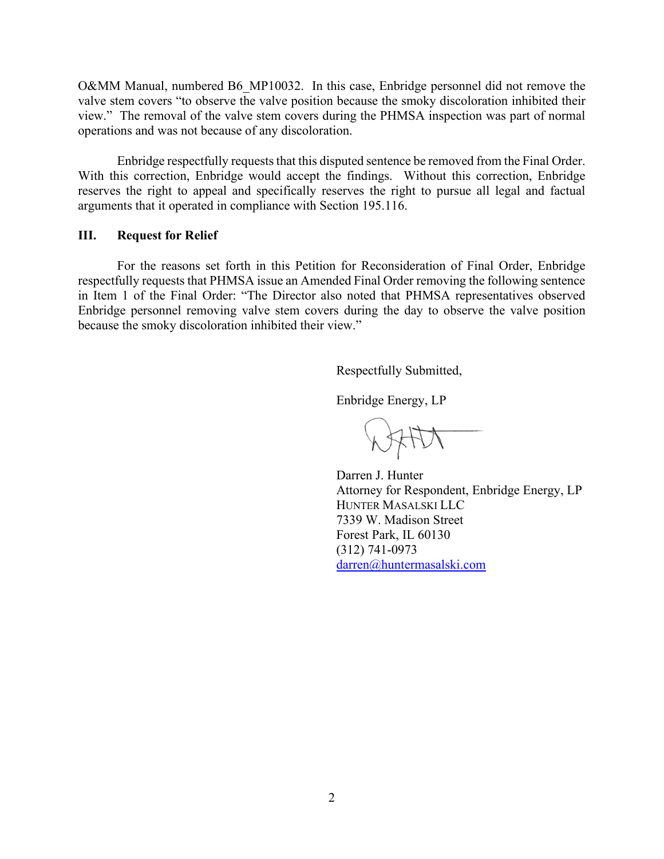O&MM Manual, numbered B6\_MP10032. In this case, Enbridge personnel did not remove the valve stem covers "to observe the valve position because the smoky discoloration inhibited their view." The removal of the valve stem covers during the PHMSA inspection was part of normal operations and was not because of any discoloration.

Enbridge respectfully requests that this disputed sentence be removed from the Final Order. With this correction, Enbridge would accept the findings. Without this correction, Enbridge reserves the right to appeal and specifically reserves the right to pursue all legal and factual arguments that it operated in compliance with Section 195.116.

#### **III. Request for Relief**

For the reasons set forth in this Petition for Reconsideration of Final Order, Enbridge respectfully requests that PHMSA issue an Amended Final Order removing the following sentence in Item 1 of the Final Order: "The Director also noted that PHMSA representatives observed Enbridge personnel removing valve stem covers during the day to observe the valve position because the smoky discoloration inhibited their view."

Respectfully Submitted,

Enbridge Energy, LP

Darren J. Hunter Attorney for Respondent, Enbridge Energy, LP HUNTER MASALSKI LLC 7339 W. Madison Street Forest Park, IL 60130 (312) 741-0973 darren@huntermasalski.com